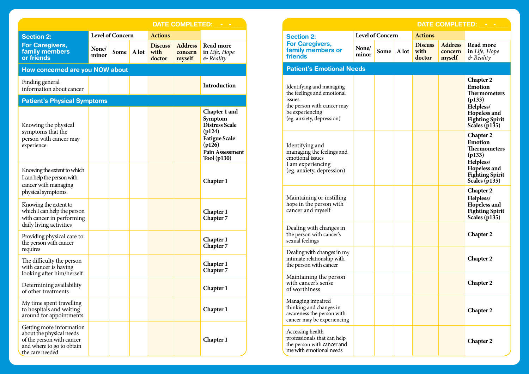|                                                                                                                                   |                         |      |       |                                  | DATE COMPLETED: - -                 |                                                                                                                                        |  |
|-----------------------------------------------------------------------------------------------------------------------------------|-------------------------|------|-------|----------------------------------|-------------------------------------|----------------------------------------------------------------------------------------------------------------------------------------|--|
| <b>Section 2:</b>                                                                                                                 | <b>Level of Concern</b> |      |       | <b>Actions</b>                   |                                     |                                                                                                                                        |  |
| <b>For Caregivers,</b><br>family members<br>or friends                                                                            | None/<br>minor          | Some | A lot | <b>Discuss</b><br>with<br>doctor | <b>Address</b><br>concern<br>myself | Read more<br>in Life, Hope<br>& Reality                                                                                                |  |
| How concerned are you NOW about                                                                                                   |                         |      |       |                                  |                                     |                                                                                                                                        |  |
| Finding general<br>information about cancer                                                                                       |                         |      |       |                                  |                                     | Introduction                                                                                                                           |  |
| <b>Patient's Physical Symptoms</b>                                                                                                |                         |      |       |                                  |                                     |                                                                                                                                        |  |
| Knowing the physical<br>symptoms that the<br>person with cancer may<br>experience                                                 |                         |      |       |                                  |                                     | Chapter 1 and<br>Symptom<br><b>Distress Scale</b><br>(p124)<br><b>Fatigue Scale</b><br>(p126)<br><b>Pain Assessment</b><br>Tool (p130) |  |
| Knowing the extent to which<br>I can help the person with<br>cancer with managing<br>physical symptoms.                           |                         |      |       |                                  |                                     | Chapter 1                                                                                                                              |  |
| Knowing the extent to<br>which I can help the person<br>with cancer in performing<br>daily living activities                      |                         |      |       |                                  |                                     | Chapter 1<br>Chapter 7                                                                                                                 |  |
| Providing physical care to<br>the person with cancer<br>requires                                                                  |                         |      |       |                                  |                                     | Chapter 1<br>Chapter 7                                                                                                                 |  |
| The difficulty the person<br>with cancer is having<br>looking after him/herself                                                   |                         |      |       |                                  |                                     | Chapter 1<br><b>Chapter 7</b>                                                                                                          |  |
| Determining availability<br>of other treatments                                                                                   |                         |      |       |                                  |                                     | Chapter 1                                                                                                                              |  |
| My time spent travelling<br>to hospitals and waiting<br>around for appointments                                                   |                         |      |       |                                  |                                     | Chapter 1                                                                                                                              |  |
| Getting more information<br>about the physical needs<br>of the person with cancer<br>and where to go to obtain<br>the care needed |                         |      |       |                                  |                                     | Chapter 1                                                                                                                              |  |

**120 121**

| <b>DATE COMPLETED:</b>                                                                                                                         |                         |      |       |                                  |                                     |                                                                                                                                               |
|------------------------------------------------------------------------------------------------------------------------------------------------|-------------------------|------|-------|----------------------------------|-------------------------------------|-----------------------------------------------------------------------------------------------------------------------------------------------|
| <b>Section 2:</b>                                                                                                                              | <b>Level of Concern</b> |      |       | <b>Actions</b>                   |                                     |                                                                                                                                               |
| <b>For Caregivers,</b><br>family members or<br>friends                                                                                         | None/<br>minor          | Some | A lot | <b>Discuss</b><br>with<br>doctor | <b>Address</b><br>concern<br>myself | Read more<br>in Life, Hope<br>& Reality                                                                                                       |
| <b>Patient's Emotional Needs</b>                                                                                                               |                         |      |       |                                  |                                     |                                                                                                                                               |
| Identifying and managing<br>the feelings and emotional<br>issues<br>the person with cancer may<br>be experiencing<br>(eg. anxiety, depression) |                         |      |       |                                  |                                     | <b>Chapter 2</b><br><b>Emotion</b><br><b>Thermometers</b><br>(p133)<br>Helpless/<br>Hopeless and<br><b>Fighting Spirit</b><br>Scales $(p135)$ |
| Identifying and<br>managing the feelings and<br>emotional issues<br>I am experiencing<br>(eg. anxiety, depression)                             |                         |      |       |                                  |                                     | <b>Chapter 2</b><br>Emotion<br>Thermometers<br>(p133)<br>Helpless/<br>Hopeless and<br><b>Fighting Spirit</b><br>Scales (p135)                 |
| Maintaining or instilling<br>hope in the person with<br>cancer and myself                                                                      |                         |      |       |                                  |                                     | Chapter 2<br>Helpless/<br>Hopeless and<br><b>Fighting Spirit</b><br><b>Scales</b> (p135)                                                      |
| Dealing with changes in<br>the person with cancer's<br>sexual feelings                                                                         |                         |      |       |                                  |                                     | <b>Chapter 2</b>                                                                                                                              |
| Dealing with changes in my<br>intimate relationship with<br>the person with cancer                                                             |                         |      |       |                                  |                                     | <b>Chapter 2</b>                                                                                                                              |
| Maintaining the person<br>with cancer's sense<br>of worthiness                                                                                 |                         |      |       |                                  |                                     | <b>Chapter 2</b>                                                                                                                              |
| Managing impaired<br>thinking and changes in<br>awareness the person with<br>cancer may be experiencing                                        |                         |      |       |                                  |                                     | Chapter 2                                                                                                                                     |
| Accessing health<br>professionals that can help<br>the person with cancer and<br>me with emotional needs                                       |                         |      |       |                                  |                                     | Chapter 2                                                                                                                                     |